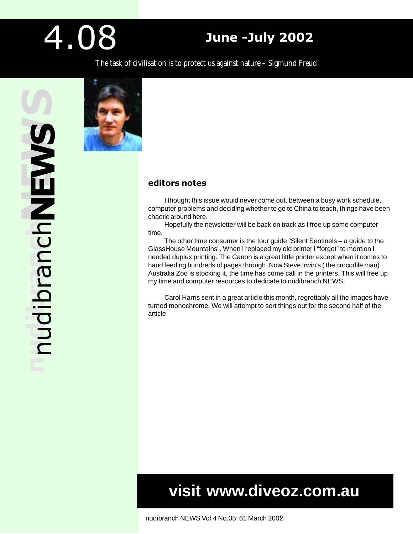# 4.08 June -July 2002

The task of civilisation is to protect us against nature – Sigmund Freud



### editors notes

I thought this issue would never come out. between a busy work schedule, computer problems and deciding whether to go to China to teach, things have been chaotic around here.

Hopefully the newsletter will be back on track as I free up some computer time.

The other time consumer is the tour guide "Silent Sentinels – a guide to the GlassHouse Mountains". When I replaced my old printer I "forgot" to mention I needed duplex printing. The Canon is a great little printer except when it comes to hand feeding hundreds of pages through. Now Steve Irwin's ( the crocodile man) Australia Zoo is stocking it, the time has come call in the printers. This will free up my time and computer resources to dedicate to nudibranch NEWS.

Carol Harris sent in a great article this month, regrettably all the images have turned monochrome. We will attempt to sort things out for the second half of the article.

### **visit www.diveoz.com.au**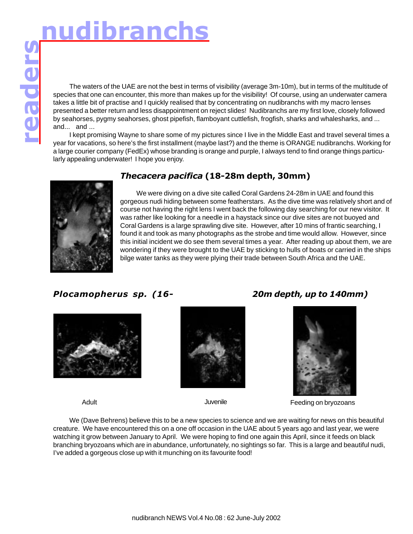The waters of the UAE are not the best in terms of visibility (average 3m-10m), but in terms of the multitude of species that one can encounter, this more than makes up for the visibility! Of course, using an underwater camera takes a little bit of practise and I quickly realised that by concentrating on nudibranchs with my macro lenses presented a better return and less disappointment on reject slides! Nudibranchs are my first love, closely followed by seahorses, pygmy seahorses, ghost pipefish, flamboyant cuttlefish, frogfish, sharks and whalesharks, and ... and... and ...

I kept promising Wayne to share some of my pictures since I live in the Middle East and travel several times a year for vacations, so here's the first installment (maybe last?) and the theme is ORANGE nudibranchs. Working for a large courier company (FedEx) whose branding is orange and purple, I always tend to find orange things particularly appealing underwater! I hope you enjoy.



### Thecacera pacifica (18-28m depth, 30mm)

We were diving on a dive site called Coral Gardens 24-28m in UAE and found this gorgeous nudi hiding between some featherstars. As the dive time was relatively short and of course not having the right lens I went back the following day searching for our new visitor. It was rather like looking for a needle in a haystack since our dive sites are not buoyed and Coral Gardens is a large sprawling dive site. However, after 10 mins of frantic searching, I found it and took as many photographs as the strobe and time would allow. However, since this initial incident we do see them several times a year. After reading up about them, we are wondering if they were brought to the UAE by sticking to hulls of boats or carried in the ships bilge water tanks as they were plying their trade between South Africa and the UAE.

Plocamopherus sp. (16- 20m depth, up to 140mm)

nudibranchs







Adult Adult Adult Adult Adult Adult Adult Adult Adult Adult Adult Adult Adult Adult Adult Adult Adult Adult Adu

We (Dave Behrens) believe this to be a new species to science and we are waiting for news on this beautiful creature. We have encountered this on a one off occasion in the UAE about 5 years ago and last year, we were watching it grow between January to April. We were hoping to find one again this April, since it feeds on black branching bryozoans which are in abundance, unfortunately, no sightings so far. This is a large and beautiful nudi, I've added a gorgeous close up with it munching on its favourite food!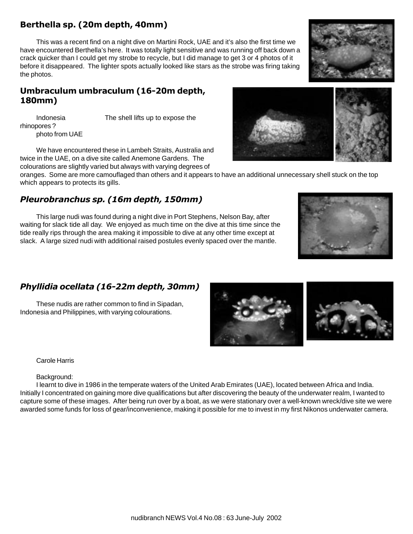### Berthella sp. (20m depth, 40mm)

This was a recent find on a night dive on Martini Rock, UAE and it's also the first time we have encountered Berthella's here. It was totally light sensitive and was running off back down a crack quicker than I could get my strobe to recycle, but I did manage to get 3 or 4 photos of it before it disappeared. The lighter spots actually looked like stars as the strobe was firing taking the photos.

### Umbraculum umbraculum (16-20m depth, 180mm)

Indonesia The shell lifts up to expose the rhinopores ? photo from UAE

We have encountered these in Lambeh Straits, Australia and twice in the UAE, on a dive site called Anemone Gardens. The colourations are slightly varied but always with varying degrees of

oranges. Some are more camouflaged than others and it appears to have an additional unnecessary shell stuck on the top which appears to protects its gills.

### Pleurobranchus sp. (16m depth, 150mm)

This large nudi was found during a night dive in Port Stephens, Nelson Bay, after waiting for slack tide all day. We enjoyed as much time on the dive at this time since the tide really rips through the area making it impossible to dive at any other time except at slack. A large sized nudi with additional raised postules evenly spaced over the mantle.

### Phyllidia ocellata (16-22m depth, 30mm)

These nudis are rather common to find in Sipadan, Indonesia and Philippines, with varying colourations.

### Carole Harris

Background:

I learnt to dive in 1986 in the temperate waters of the United Arab Emirates (UAE), located between Africa and India. Initially I concentrated on gaining more dive qualifications but after discovering the beauty of the underwater realm, I wanted to capture some of these images. After being run over by a boat, as we were stationary over a well-known wreck/dive site we were awarded some funds for loss of gear/inconvenience, making it possible for me to invest in my first Nikonos underwater camera.







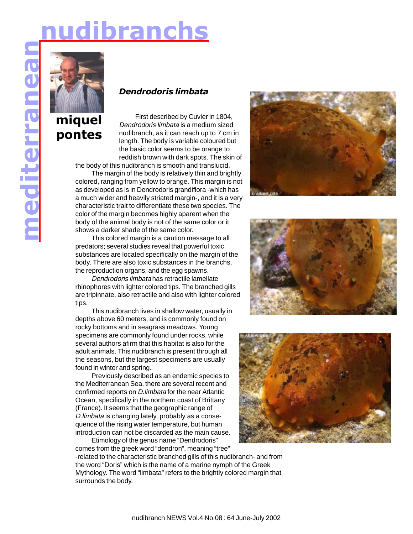### nudibranchs



### miquel pontes

### Dendrodoris limbata

First described by Cuvier in 1804, Dendrodoris limbata is a medium sized nudibranch, as it can reach up to 7 cm in length. The body is variable coloured but the basic color seems to be orange to reddish brown with dark spots. The skin of

the body of this nudibranch is smooth and translucid.

The margin of the body is relatively thin and brightly colored, ranging from yellow to orange. This margin is not as developed as is in Dendrodoris grandiflora -which has a much wider and heavily striated margin-, and it is a very characteristic trait to differentiate these two species. The color of the margin becomes highly aparent when the body of the animal body is not of the same color or it shows a darker shade of the same color.

This colored margin is a caution message to all predators; several studies reveal that powerful toxic substances are located specifically on the margin of the body. There are also toxic substances in the branchs, the reproduction organs, and the egg spawns.

Dendrodoris limbata has retractile lamellate rhinophores with lighter colored tips. The branched gills are tripinnate, also retractile and also with lighter colored tips.

This nudibranch lives in shallow water, usually in depths above 60 meters, and is commonly found on rocky bottoms and in seagrass meadows. Young specimens are commonly found under rocks, while several authors afirm that this habitat is also for the adult animals. This nudibranch is present through all the seasons, but the largest specimens are usually found in winter and spring.

Previously described as an endemic species to the Mediterranean Sea, there are several recent and confirmed reports on D.limbata for the near Atlantic Ocean, specifically in the northern coast of Brittany (France). It seems that the geographic range of D.limbata is changing lately, probably as a consequence of the rising water temperature, but human introduction can not be discarded as the main cause.

Etimology of the genus name "Dendrodoris"

comes from the greek word "dendron", meaning "tree" -related to the characteristic branched gills of this nudibranch- and from the word "Doris" which is the name of a marine nymph of the Greek Mythology. The word "limbata" refers to the brightly colored margin that surrounds the body.





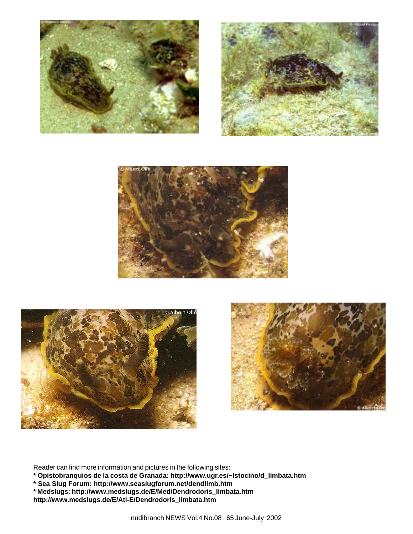









Reader can find more information and pictures in the following sites:

**\* Opistobranquios de la costa de Granada: http://www.ugr.es/~lstocino/d\_limbata.htm**

- **\* Sea Slug Forum: http://www.seaslugforum.net/dendlimb.htm**
- **\* Medslugs: http://www.medslugs.de/E/Med/Dendrodoris\_limbata.htm**

**http://www.medslugs.de/E/Atl-E/Dendrodoris\_limbata.htm**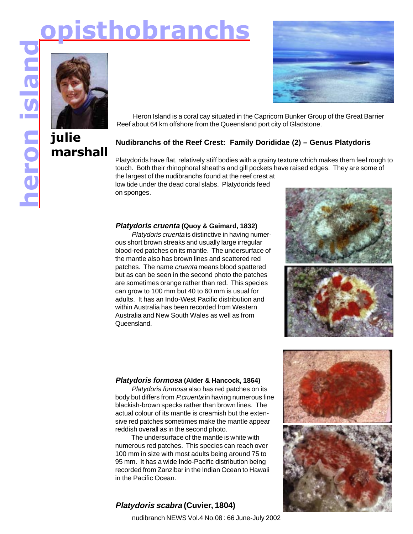### opisthobranchs



## marshall



Heron Island is a coral cay situated in the Capricorn Bunker Group of the Great Barrier Reef about 64 km offshore from the Queensland port city of Gladstone.

### **Nudibranchs of the Reef Crest: Family Dorididae (2) – Genus Platydoris**

Platydorids have flat, relatively stiff bodies with a grainy texture which makes them feel rough to touch. Both their rhinophoral sheaths and gill pockets have raised edges. They are some of the largest of the nudibranchs found at the reef crest at

low tide under the dead coral slabs. Platydorids feed on sponges.

### **Platydoris cruenta (Quoy & Gaimard, 1832)**

Platydoris cruenta is distinctive in having numerous short brown streaks and usually large irregular blood-red patches on its mantle. The undersurface of the mantle also has brown lines and scattered red patches. The name cruenta means blood spattered but as can be seen in the second photo the patches are sometimes orange rather than red. This species can grow to 100 mm but 40 to 60 mm is usual for adults. It has an Indo-West Pacific distribution and within Australia has been recorded from Western Australia and New South Wales as well as from Queensland.



### **Platydoris formosa (Alder & Hancock, 1864)**

Platydoris formosa also has red patches on its body but differs from P.cruenta in having numerous fine blackish-brown specks rather than brown lines. The actual colour of its mantle is creamish but the extensive red patches sometimes make the mantle appear reddish overall as in the second photo.

The undersurface of the mantle is white with numerous red patches. This species can reach over 100 mm in size with most adults being around 75 to 95 mm. It has a wide Indo-Pacific distribution being recorded from Zanzibar in the Indian Ocean to Hawaii in the Pacific Ocean.

### **Platydoris scabra (Cuvier, 1804)**

nudibranch NEWS Vol.4 No.08 : 66 June-July 2002

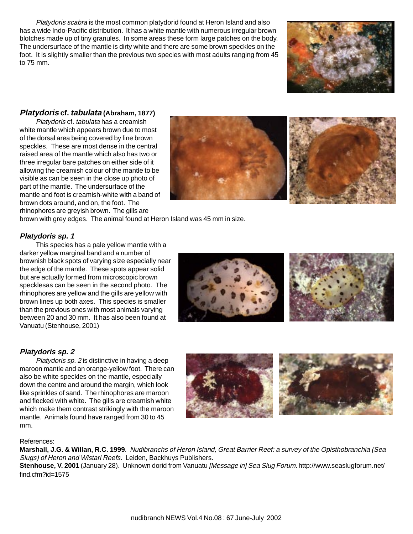Platydoris scabra is the most common platydorid found at Heron Island and also has a wide Indo-Pacific distribution. It has a white mantle with numerous irregular brown blotches made up of tiny granules. In some areas these form large patches on the body. The undersurface of the mantle is dirty white and there are some brown speckles on the foot. It is slightly smaller than the previous two species with most adults ranging from 45 to 75 mm.



### **Platydoris cf. tabulata (Abraham, 1877)**

Platydoris cf. tabulata has a creamish white mantle which appears brown due to most of the dorsal area being covered by fine brown speckles. These are most dense in the central raised area of the mantle which also has two or three irregular bare patches on either side of it allowing the creamish colour of the mantle to be visible as can be seen in the close up photo of part of the mantle. The undersurface of the mantle and foot is creamish-white with a band of brown dots around, and on, the foot. The rhinophores are greyish brown. The gills are



brown with grey edges. The animal found at Heron Island was 45 mm in size.

### **Platydoris sp. 1**

This species has a pale yellow mantle with a darker yellow marginal band and a number of brownish black spots of varying size especially near the edge of the mantle. These spots appear solid but are actually formed from microscopic brown specklesas can be seen in the second photo. The rhinophores are yellow and the gills are yellow with brown lines up both axes. This species is smaller than the previous ones with most animals varying between 20 and 30 mm. It has also been found at Vanuatu (Stenhouse, 2001)



### **Platydoris sp. 2**

Platydoris sp. 2 is distinctive in having a deep maroon mantle and an orange-yellow foot. There can also be white speckles on the mantle, especially down the centre and around the margin, which look like sprinkles of sand. The rhinophores are maroon and flecked with white. The gills are creamish white which make them contrast strikingly with the maroon mantle. Animals found have ranged from 30 to 45 mm.



#### References:

**Marshall, J.G. & Willan, R.C. 1999**. Nudibranchs of Heron Island, Great Barrier Reef: a survey of the Opisthobranchia (Sea Slugs) of Heron and Wistari Reefs. Leiden, Backhuys Publishers. Stenhouse, V. 2001 (January 28). Unknown dorid from Vanuatu [Message in] Sea Slug Forum. http://www.seaslugforum.net/ find.cfm?id=1575